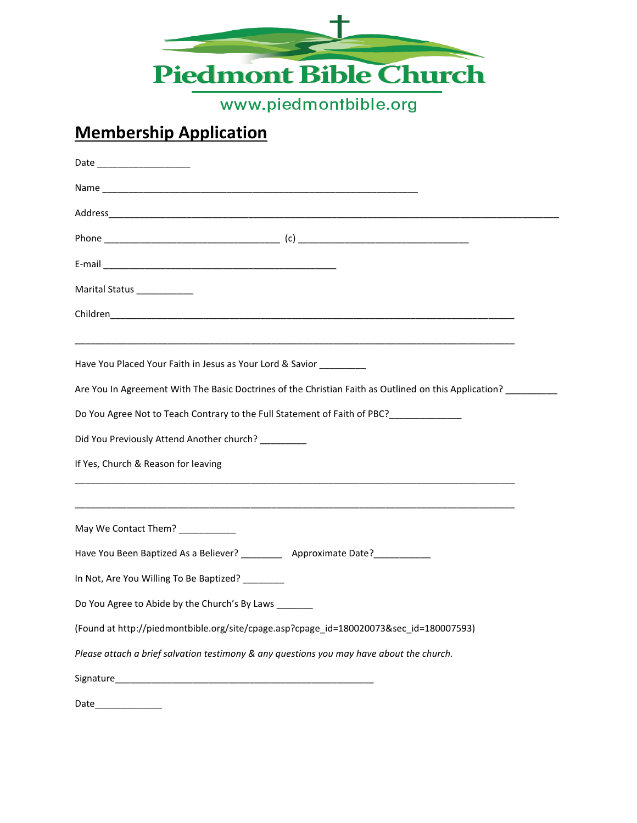

www.piedmontbible.org

## **Membership Application**

| Marital Status _____________                                                                                   |
|----------------------------------------------------------------------------------------------------------------|
|                                                                                                                |
| Have You Placed Your Faith in Jesus as Your Lord & Savior ________                                             |
| Are You In Agreement With The Basic Doctrines of the Christian Faith as Outlined on this Application? ________ |
| Do You Agree Not to Teach Contrary to the Full Statement of Faith of PBC?                                      |
| Did You Previously Attend Another church? ________                                                             |
| If Yes, Church & Reason for leaving                                                                            |
| May We Contact Them? ___________                                                                               |
| Have You Been Baptized As a Believer? ____________ Approximate Date?____________                               |
| In Not, Are You Willing To Be Baptized? _______                                                                |
| Do You Agree to Abide by the Church's By Laws                                                                  |
| (Found at http://piedmontbible.org/site/cpage.asp?cpage_id=180020073&sec_id=180007593)                         |
| Please attach a brief salvation testimony & any questions you may have about the church.                       |
| Signature_                                                                                                     |
| Date                                                                                                           |